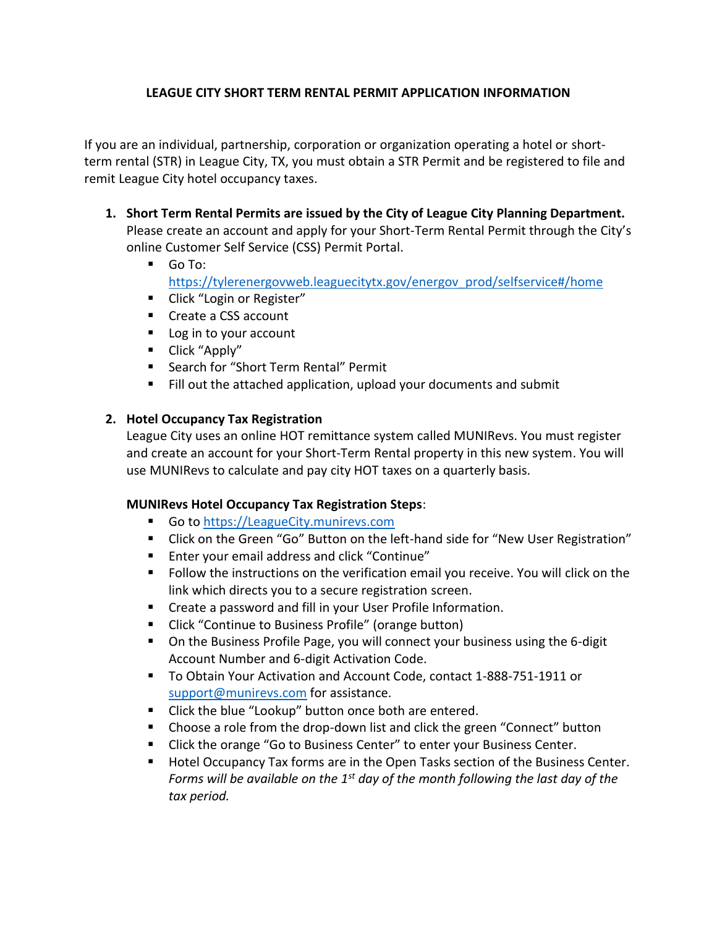## **LEAGUE CITY SHORT TERM RENTAL PERMIT APPLICATION INFORMATION**

If you are an individual, partnership, corporation or organization operating a hotel or shortterm rental (STR) in League City, TX, you must obtain a STR Permit and be registered to file and remit League City hotel occupancy taxes.

- **1. Short Term Rental Permits are issued by the City of League City Planning Department.** Please create an account and apply for your Short-Term Rental Permit through the City's online Customer Self Service (CSS) Permit Portal.
	- Go To: [https://tylerenergovweb.leaguecitytx.gov/energov\\_prod/selfservice#/home](https://tylerenergovweb.leaguecitytx.gov/energov_prod/selfservice#/home)
	- Click "Login or Register"
	- Create a CSS account
	- Log in to your account
	- Click "Apply"
	- Search for "Short Term Rental" Permit
	- Fill out the attached application, upload your documents and submit

# **2. Hotel Occupancy Tax Registration**

League City uses an online HOT remittance system called MUNIRevs. You must register and create an account for your Short-Term Rental property in this new system. You will use MUNIRevs to calculate and pay city HOT taxes on a quarterly basis.

## **MUNIRevs Hotel Occupancy Tax Registration Steps**:

- Go to [https://LeagueCity.munirevs.com](https://leaguecity.munirevs.com/)
- Click on the Green "Go" Button on the left-hand side for "New User Registration"
- Enter your email address and click "Continue"
- Follow the instructions on the verification email you receive. You will click on the link which directs you to a secure registration screen.
- Create a password and fill in your User Profile Information.
- Click "Continue to Business Profile" (orange button)
- On the Business Profile Page, you will connect your business using the 6-digit Account Number and 6-digit Activation Code.
- To Obtain Your Activation and Account Code, contact 1-888-751-1911 or [support@munirevs.com](mailto:support@munirevs.com) for assistance.
- Click the blue "Lookup" button once both are entered.
- Choose a role from the drop-down list and click the green "Connect" button
- Click the orange "Go to Business Center" to enter your Business Center.
- Hotel Occupancy Tax forms are in the Open Tasks section of the Business Center. *Forms will be available on the 1 st day of the month following the last day of the tax period.*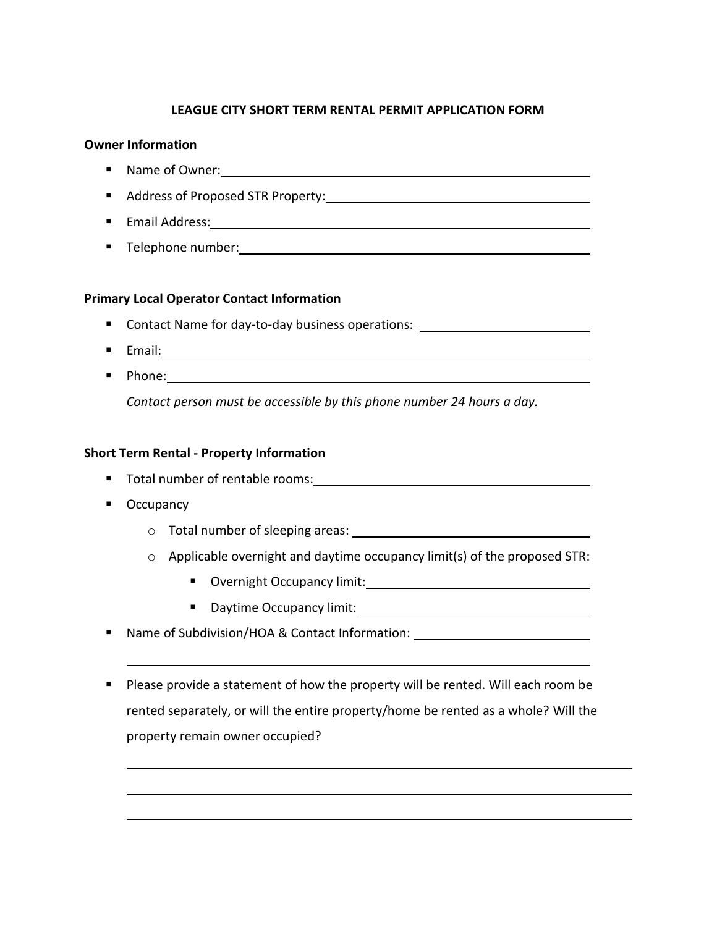## **LEAGUE CITY SHORT TERM RENTAL PERMIT APPLICATION FORM**

#### **Owner Information**

- Name of Owner:
- Address of Proposed STR Property:
- Email Address:
- Telephone number:

### **Primary Local Operator Contact Information**

- Contact Name for day-to-day business operations: \_\_\_\_\_\_\_\_\_\_\_\_\_\_\_\_\_\_\_\_\_\_\_\_\_\_\_\_\_
- Email:
- Phone: 2000 Phone: 2000 Phone: 2000 Phone: 2000 Phone: 2000 Phone: 2000 Phone: 2000 Phone: 2000 Phone: 2000 Phone: 2000 Phone: 2000 Phone: 2000 Phone: 2000 Phone: 2000 Phone: 2000 Phone: 2000 Phone: 2000 Phone: 2000 Pho *Contact person must be accessible by this phone number 24 hours a day.*

### **Short Term Rental - Property Information**

- Total number of rentable rooms:
- Occupancy
	- o Total number of sleeping areas:
	- $\circ$  Applicable overnight and daytime occupancy limit(s) of the proposed STR:
		- Overnight Occupancy limit:
		- Daytime Occupancy limit:
- Name of Subdivision/HOA & Contact Information:
- Please provide a statement of how the property will be rented. Will each room be rented separately, or will the entire property/home be rented as a whole? Will the property remain owner occupied?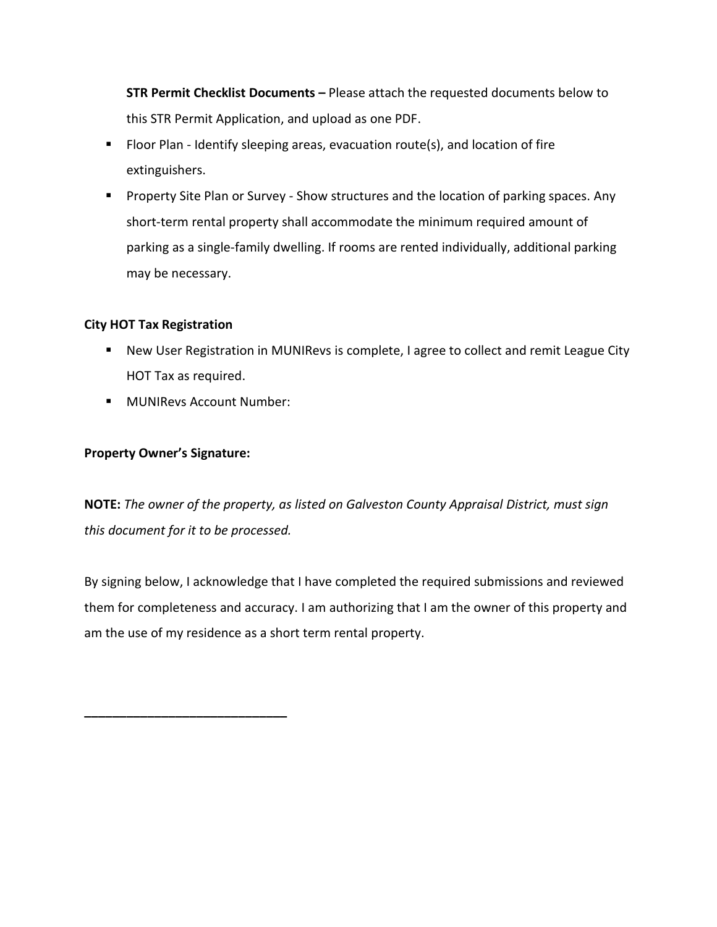**STR Permit Checklist Documents –** Please attach the requested documents below to this STR Permit Application, and upload as one PDF.

- Floor Plan Identify sleeping areas, evacuation route(s), and location of fire extinguishers.
- Property Site Plan or Survey Show structures and the location of parking spaces. Any short-term rental property shall accommodate the minimum required amount of parking as a single-family dwelling. If rooms are rented individually, additional parking may be necessary.

## **City HOT Tax Registration**

- New User Registration in MUNIRevs is complete, I agree to collect and remit League City HOT Tax as required.
- MUNIRevs Account Number:

### **Property Owner's Signature:**

**\_\_\_\_\_\_\_\_\_\_\_\_\_\_\_\_\_\_\_\_\_\_\_\_\_\_\_\_\_**

**NOTE:** *The owner of the property, as listed on Galveston County Appraisal District, must sign this document for it to be processed.*

By signing below, I acknowledge that I have completed the required submissions and reviewed them for completeness and accuracy. I am authorizing that I am the owner of this property and am the use of my residence as a short term rental property.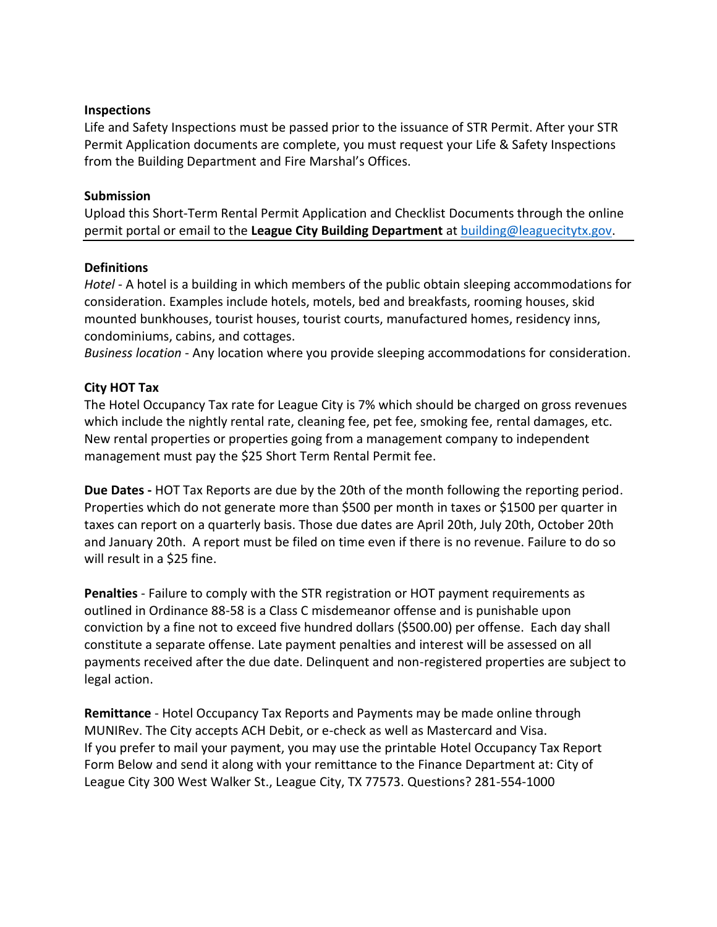#### **Inspections**

Life and Safety Inspections must be passed prior to the issuance of STR Permit. After your STR Permit Application documents are complete, you must request your Life & Safety Inspections from the Building Department and Fire Marshal's Offices.

### **Submission**

Upload this Short-Term Rental Permit Application and Checklist Documents through the online permit portal or email to the **League City Building Department** at [building@leaguecitytx.gov.](mailto:building@leaguecitytx.gov)

### **Definitions**

*Hotel* - A hotel is a building in which members of the public obtain sleeping accommodations for consideration. Examples include hotels, motels, bed and breakfasts, rooming houses, skid mounted bunkhouses, tourist houses, tourist courts, manufactured homes, residency inns, condominiums, cabins, and cottages.

*Business location* - Any location where you provide sleeping accommodations for consideration.

#### **City HOT Tax**

The Hotel Occupancy Tax rate for League City is 7% which should be charged on gross revenues which include the nightly rental rate, cleaning fee, pet fee, smoking fee, rental damages, etc. New rental properties or properties going from a management company to independent management must pay the \$25 Short Term Rental Permit fee.

**Due Dates -** HOT Tax Reports are due by the 20th of the month following the reporting period. Properties which do not generate more than \$500 per month in taxes or \$1500 per quarter in taxes can report on a quarterly basis. Those due dates are April 20th, July 20th, October 20th and January 20th. A report must be filed on time even if there is no revenue. Failure to do so will result in a \$25 fine.

**Penalties** - Failure to comply with the STR registration or HOT payment requirements as outlined in Ordinance 88-58 is a Class C misdemeanor offense and is punishable upon conviction by a fine not to exceed five hundred dollars (\$500.00) per offense. Each day shall constitute a separate offense. Late payment penalties and interest will be assessed on all payments received after the due date. Delinquent and non-registered properties are subject to legal action.

**Remittance** - Hotel Occupancy Tax Reports and Payments may be made online through MUNIRev. The City accepts ACH Debit, or e-check as well as Mastercard and Visa. If you prefer to mail your payment, you may use the printable Hotel Occupancy Tax Report Form Below and send it along with your remittance to the Finance Department at: City of League City 300 West Walker St., League City, TX 77573. Questions? 281-554-1000